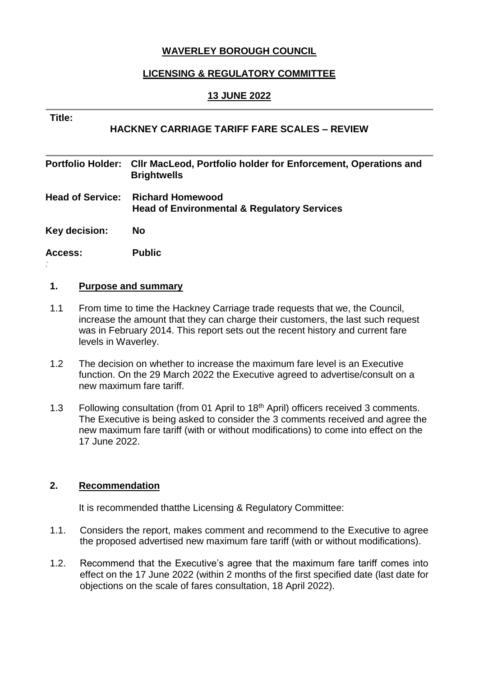# **WAVERLEY BOROUGH COUNCIL**

# **LICENSING & REGULATORY COMMITTEE**

### **13 JUNE 2022**

#### **Title:**

*:*

# **HACKNEY CARRIAGE TARIFF FARE SCALES – REVIEW**

| <b>Portfolio Holder:</b> | <b>CIIr MacLeod, Portfolio holder for Enforcement, Operations and</b><br><b>Brightwells</b> |
|--------------------------|---------------------------------------------------------------------------------------------|
| <b>Head of Service:</b>  | <b>Richard Homewood</b><br><b>Head of Environmental &amp; Regulatory Services</b>           |
| Key decision:            | <b>No</b>                                                                                   |
| Access:                  | <b>Public</b>                                                                               |

#### **1. Purpose and summary**

- 1.1 From time to time the Hackney Carriage trade requests that we, the Council, increase the amount that they can charge their customers, the last such request was in February 2014. This report sets out the recent history and current fare levels in Waverley.
- 1.2 The decision on whether to increase the maximum fare level is an Executive function. On the 29 March 2022 the Executive agreed to advertise/consult on a new maximum fare tariff.
- 1.3 Following consultation (from 01 April to 18<sup>th</sup> April) officers received 3 comments. The Executive is being asked to consider the 3 comments received and agree the new maximum fare tariff (with or without modifications) to come into effect on the 17 June 2022.

### **2. Recommendation**

It is recommended thatthe Licensing & Regulatory Committee:

- 1.1. Considers the report, makes comment and recommend to the Executive to agree the proposed advertised new maximum fare tariff (with or without modifications).
- 1.2. Recommend that the Executive's agree that the maximum fare tariff comes into effect on the 17 June 2022 (within 2 months of the first specified date (last date for objections on the scale of fares consultation, 18 April 2022).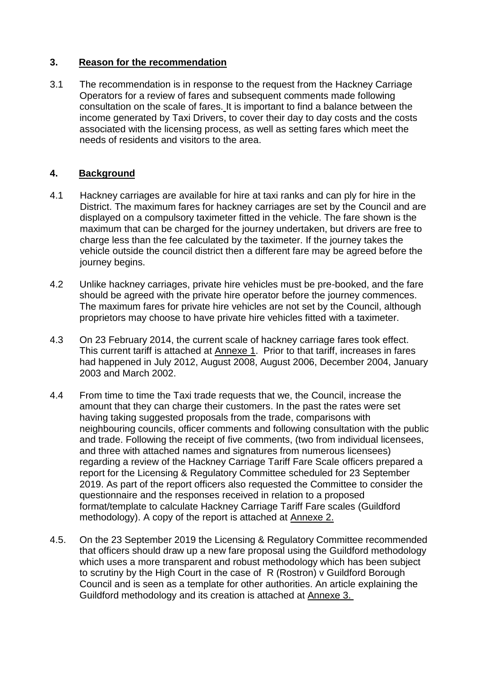### **3. Reason for the recommendation**

3.1 The recommendation is in response to the request from the Hackney Carriage Operators for a review of fares and subsequent comments made following consultation on the scale of fares. It is important to find a balance between the income generated by Taxi Drivers, to cover their day to day costs and the costs associated with the licensing process, as well as setting fares which meet the needs of residents and visitors to the area.

# **4. Background**

- 4.1 Hackney carriages are available for hire at taxi ranks and can ply for hire in the District. The maximum fares for hackney carriages are set by the Council and are displayed on a compulsory taximeter fitted in the vehicle. The fare shown is the maximum that can be charged for the journey undertaken, but drivers are free to charge less than the fee calculated by the taximeter. If the journey takes the vehicle outside the council district then a different fare may be agreed before the journey begins.
- 4.2 Unlike hackney carriages, private hire vehicles must be pre-booked, and the fare should be agreed with the private hire operator before the journey commences. The maximum fares for private hire vehicles are not set by the Council, although proprietors may choose to have private hire vehicles fitted with a taximeter.
- 4.3 On 23 February 2014, the current scale of hackney carriage fares took effect. This current tariff is attached at Annexe 1. Prior to that tariff, increases in fares had happened in July 2012, August 2008, August 2006, December 2004, January 2003 and March 2002.
- 4.4 From time to time the Taxi trade requests that we, the Council, increase the amount that they can charge their customers. In the past the rates were set having taking suggested proposals from the trade, comparisons with neighbouring councils, officer comments and following consultation with the public and trade. Following the receipt of five comments, (two from individual licensees, and three with attached names and signatures from numerous licensees) regarding a review of the Hackney Carriage Tariff Fare Scale officers prepared a report for the Licensing & Regulatory Committee scheduled for 23 September 2019. As part of the report officers also requested the Committee to consider the questionnaire and the responses received in relation to a proposed format/template to calculate Hackney Carriage Tariff Fare scales (Guildford methodology). A copy of the report is attached at Annexe 2.
- 4.5. On the 23 September 2019 the Licensing & Regulatory Committee recommended that officers should draw up a new fare proposal using the Guildford methodology which uses a more transparent and robust methodology which has been subject to scrutiny by the High Court in the case of R (Rostron) v Guildford Borough Council and is seen as a template for other authorities. An article explaining the Guildford methodology and its creation is attached at Annexe 3.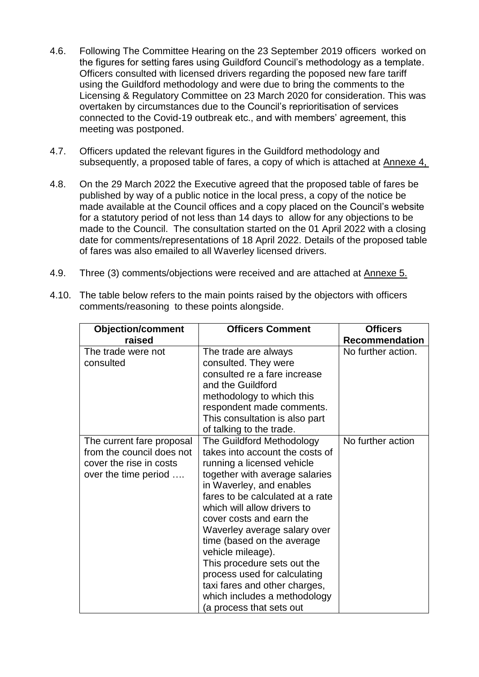- 4.6. Following The Committee Hearing on the 23 September 2019 officers worked on the figures for setting fares using Guildford Council's methodology as a template. Officers consulted with licensed drivers regarding the poposed new fare tariff using the Guildford methodology and were due to bring the comments to the Licensing & Regulatory Committee on 23 March 2020 for consideration. This was overtaken by circumstances due to the Council's reprioritisation of services connected to the Covid-19 outbreak etc., and with members' agreement, this meeting was postponed.
- 4.7. Officers updated the relevant figures in the Guildford methodology and subsequently, a proposed table of fares, a copy of which is attached at Annexe 4,
- 4.8. On the 29 March 2022 the Executive agreed that the proposed table of fares be published by way of a public notice in the local press, a copy of the notice be made available at the Council offices and a copy placed on the Council's website for a statutory period of not less than 14 days to allow for any objections to be made to the Council. The consultation started on the 01 April 2022 with a closing date for comments/representations of 18 April 2022. Details of the proposed table of fares was also emailed to all Waverley licensed drivers.
- 4.9. Three (3) comments/objections were received and are attached at Annexe 5.

| <b>Objection/comment</b>  | <b>Officers Comment</b>          | <b>Officers</b>       |
|---------------------------|----------------------------------|-----------------------|
| raised                    |                                  | <b>Recommendation</b> |
| The trade were not        | The trade are always             | No further action.    |
| consulted                 | consulted. They were             |                       |
|                           | consulted re a fare increase     |                       |
|                           | and the Guildford                |                       |
|                           | methodology to which this        |                       |
|                           | respondent made comments.        |                       |
|                           | This consultation is also part   |                       |
|                           | of talking to the trade.         |                       |
| The current fare proposal | The Guildford Methodology        | No further action     |
| from the council does not | takes into account the costs of  |                       |
| cover the rise in costs   | running a licensed vehicle       |                       |
| over the time period      | together with average salaries   |                       |
|                           | in Waverley, and enables         |                       |
|                           | fares to be calculated at a rate |                       |
|                           | which will allow drivers to      |                       |
|                           | cover costs and earn the         |                       |
|                           | Waverley average salary over     |                       |
|                           | time (based on the average       |                       |
|                           | vehicle mileage).                |                       |
|                           | This procedure sets out the      |                       |
|                           | process used for calculating     |                       |
|                           | taxi fares and other charges,    |                       |
|                           | which includes a methodology     |                       |
|                           | (a process that sets out         |                       |

4.10. The table below refers to the main points raised by the objectors with officers comments/reasoning to these points alongside.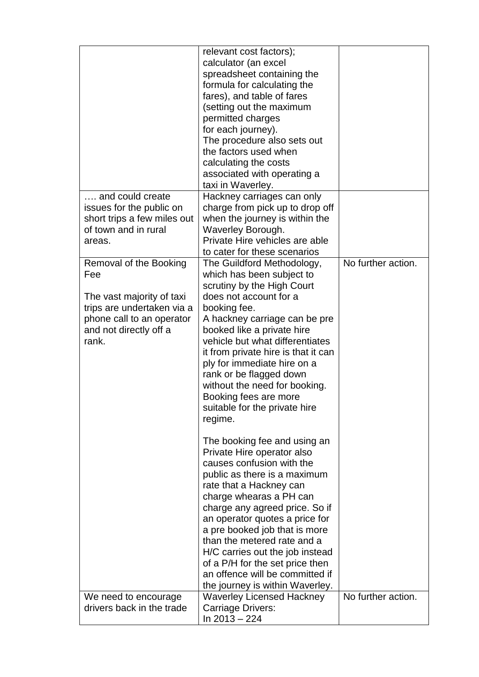|                             | relevant cost factors);             |                    |
|-----------------------------|-------------------------------------|--------------------|
|                             | calculator (an excel                |                    |
|                             | spreadsheet containing the          |                    |
|                             | formula for calculating the         |                    |
|                             | fares), and table of fares          |                    |
|                             |                                     |                    |
|                             | (setting out the maximum            |                    |
|                             | permitted charges                   |                    |
|                             | for each journey).                  |                    |
|                             | The procedure also sets out         |                    |
|                             | the factors used when               |                    |
|                             | calculating the costs               |                    |
|                             | associated with operating a         |                    |
|                             | taxi in Waverley.                   |                    |
| and could create            | Hackney carriages can only          |                    |
| issues for the public on    | charge from pick up to drop off     |                    |
| short trips a few miles out | when the journey is within the      |                    |
| of town and in rural        | Waverley Borough.                   |                    |
| areas.                      | Private Hire vehicles are able      |                    |
|                             | to cater for these scenarios        |                    |
|                             | The Guildford Methodology,          | No further action. |
| Removal of the Booking      |                                     |                    |
| Fee                         | which has been subject to           |                    |
|                             | scrutiny by the High Court          |                    |
| The vast majority of taxi   | does not account for a              |                    |
| trips are undertaken via a  | booking fee.                        |                    |
| phone call to an operator   | A hackney carriage can be pre       |                    |
| and not directly off a      | booked like a private hire          |                    |
| rank.                       | vehicle but what differentiates     |                    |
|                             | it from private hire is that it can |                    |
|                             | ply for immediate hire on a         |                    |
|                             | rank or be flagged down             |                    |
|                             | without the need for booking.       |                    |
|                             | Booking fees are more               |                    |
|                             | suitable for the private hire       |                    |
|                             | regime.                             |                    |
|                             |                                     |                    |
|                             |                                     |                    |
|                             | The booking fee and using an        |                    |
|                             | Private Hire operator also          |                    |
|                             | causes confusion with the           |                    |
|                             | public as there is a maximum        |                    |
|                             | rate that a Hackney can             |                    |
|                             | charge whearas a PH can             |                    |
|                             | charge any agreed price. So if      |                    |
|                             | an operator quotes a price for      |                    |
|                             | a pre booked job that is more       |                    |
|                             | than the metered rate and a         |                    |
|                             | H/C carries out the job instead     |                    |
|                             | of a P/H for the set price then     |                    |
|                             | an offence will be committed if     |                    |
|                             |                                     |                    |
|                             | the journey is within Waverley.     |                    |
| We need to encourage        | <b>Waverley Licensed Hackney</b>    | No further action. |
| drivers back in the trade   | Carriage Drivers:                   |                    |
|                             | In 2013 - 224                       |                    |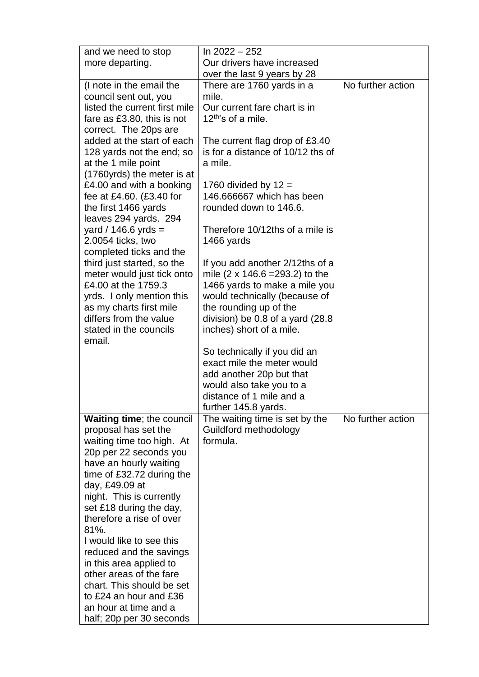| and we need to stop                                    | In $2022 - 252$                                      |                   |
|--------------------------------------------------------|------------------------------------------------------|-------------------|
| more departing.                                        | Our drivers have increased                           |                   |
|                                                        | over the last 9 years by 28                          |                   |
| (I note in the email the                               | There are 1760 yards in a                            | No further action |
| council sent out, you                                  | mile.                                                |                   |
| listed the current first mile                          | Our current fare chart is in                         |                   |
| fare as £3.80, this is not                             | 12 <sup>th'</sup> s of a mile.                       |                   |
| correct. The 20ps are                                  |                                                      |                   |
| added at the start of each                             | The current flag drop of £3.40                       |                   |
| 128 yards not the end; so                              | is for a distance of 10/12 ths of                    |                   |
| at the 1 mile point                                    | a mile.                                              |                   |
| (1760yrds) the meter is at<br>£4.00 and with a booking | 1760 divided by $12 =$                               |                   |
| fee at £4.60. $(E3.40$ for                             | 146,666667 which has been                            |                   |
| the first 1466 yards                                   | rounded down to 146.6.                               |                   |
| leaves 294 yards. 294                                  |                                                      |                   |
| yard / 146.6 yrds =                                    | Therefore 10/12ths of a mile is                      |                   |
| 2.0054 ticks, two                                      | 1466 yards                                           |                   |
| completed ticks and the                                |                                                      |                   |
| third just started, so the                             | If you add another 2/12ths of a                      |                   |
| meter would just tick onto                             | mile $(2 \times 146.6 = 293.2)$ to the               |                   |
| £4.00 at the 1759.3                                    | 1466 yards to make a mile you                        |                   |
| yrds. I only mention this                              | would technically (because of                        |                   |
| as my charts first mile                                | the rounding up of the                               |                   |
| differs from the value                                 | division) be 0.8 of a yard (28.8                     |                   |
| stated in the councils                                 | inches) short of a mile.                             |                   |
| email.                                                 |                                                      |                   |
|                                                        | So technically if you did an                         |                   |
|                                                        | exact mile the meter would                           |                   |
|                                                        | add another 20p but that<br>would also take you to a |                   |
|                                                        | distance of 1 mile and a                             |                   |
|                                                        | further 145.8 yards.                                 |                   |
| <b>Waiting time; the council</b>                       | The waiting time is set by the                       | No further action |
| proposal has set the                                   | Guildford methodology                                |                   |
| waiting time too high. At                              | formula.                                             |                   |
| 20p per 22 seconds you                                 |                                                      |                   |
| have an hourly waiting                                 |                                                      |                   |
| time of £32.72 during the                              |                                                      |                   |
| day, £49.09 at                                         |                                                      |                   |
| night. This is currently                               |                                                      |                   |
| set £18 during the day,                                |                                                      |                   |
| therefore a rise of over                               |                                                      |                   |
| 81%.                                                   |                                                      |                   |
| I would like to see this                               |                                                      |                   |
| reduced and the savings<br>in this area applied to     |                                                      |                   |
| other areas of the fare                                |                                                      |                   |
| chart. This should be set                              |                                                      |                   |
| to £24 an hour and £36                                 |                                                      |                   |
| an hour at time and a                                  |                                                      |                   |
| half; 20p per 30 seconds                               |                                                      |                   |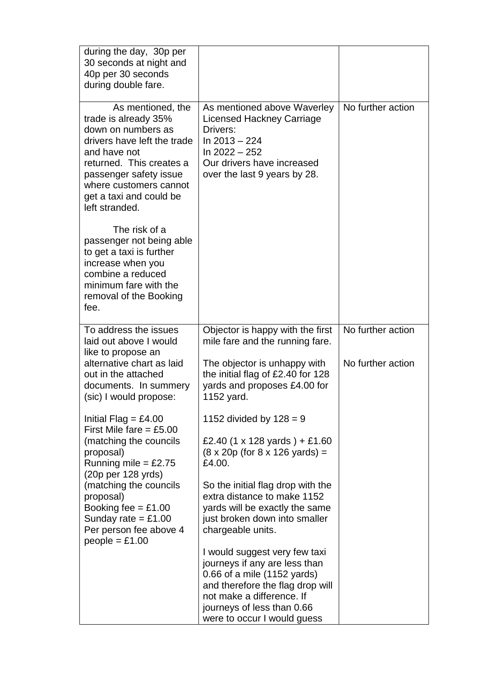| during the day, 30p per<br>30 seconds at night and<br>40p per 30 seconds<br>during double fare.                                                                                                                                             |                                                                                                                                                                                              |                   |
|---------------------------------------------------------------------------------------------------------------------------------------------------------------------------------------------------------------------------------------------|----------------------------------------------------------------------------------------------------------------------------------------------------------------------------------------------|-------------------|
| As mentioned, the<br>trade is already 35%<br>down on numbers as<br>drivers have left the trade<br>and have not<br>returned. This creates a<br>passenger safety issue<br>where customers cannot<br>get a taxi and could be<br>left stranded. | As mentioned above Waverley<br>Licensed Hackney Carriage<br>Drivers:<br>In $2013 - 224$<br>In $2022 - 252$<br>Our drivers have increased<br>over the last 9 years by 28.                     | No further action |
| The risk of a<br>passenger not being able<br>to get a taxi is further<br>increase when you<br>combine a reduced<br>minimum fare with the<br>removal of the Booking<br>fee.                                                                  |                                                                                                                                                                                              |                   |
| To address the issues<br>laid out above I would<br>like to propose an                                                                                                                                                                       | Objector is happy with the first<br>mile fare and the running fare.                                                                                                                          | No further action |
| alternative chart as laid<br>out in the attached<br>documents. In summery<br>(sic) I would propose:                                                                                                                                         | The objector is unhappy with<br>the initial flag of £2.40 for 128<br>yards and proposes £4.00 for<br>1152 yard.                                                                              | No further action |
| Initial Flag = £4.00<br>First Mile fare = $£5.00$                                                                                                                                                                                           | 1152 divided by $128 = 9$                                                                                                                                                                    |                   |
| (matching the councils<br>proposal)<br>Running mile = $£2.75$<br>$(20p \text{ per } 128 \text{ yrds})$                                                                                                                                      | £2.40 (1 x 128 yards) + £1.60<br>$(8 \times 20p$ (for 8 x 126 yards) =<br>£4.00.                                                                                                             |                   |
| (matching the councils<br>proposal)<br>Booking fee $=$ £1.00<br>Sunday rate = $£1.00$<br>Per person fee above 4<br>$people = £1.00$                                                                                                         | So the initial flag drop with the<br>extra distance to make 1152<br>yards will be exactly the same<br>just broken down into smaller<br>chargeable units.                                     |                   |
|                                                                                                                                                                                                                                             | I would suggest very few taxi<br>journeys if any are less than<br>0.66 of a mile (1152 yards)<br>and therefore the flag drop will<br>not make a difference. If<br>journeys of less than 0.66 |                   |
|                                                                                                                                                                                                                                             | were to occur I would guess                                                                                                                                                                  |                   |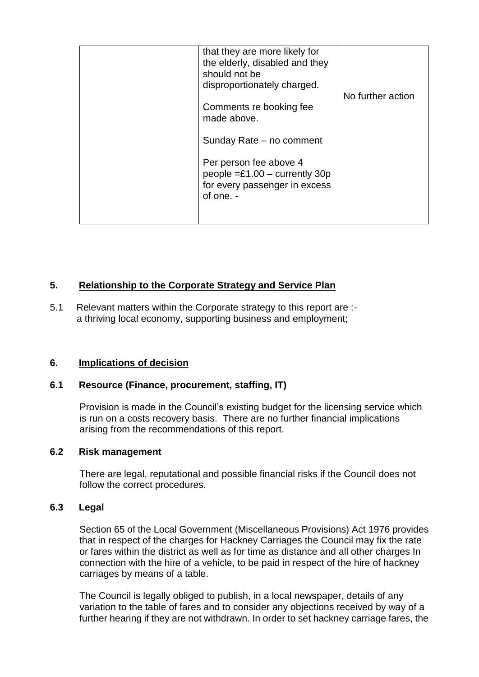| that they are more likely for<br>the elderly, disabled and they<br>should not be<br>disproportionately charged. |                   |
|-----------------------------------------------------------------------------------------------------------------|-------------------|
| Comments re booking fee<br>made above.                                                                          | No further action |
| Sunday Rate – no comment                                                                                        |                   |
| Per person fee above 4<br>people $= £1.00 -$ currently 30p<br>for every passenger in excess<br>of one. -        |                   |
|                                                                                                                 |                   |

# **5. Relationship to the Corporate Strategy and Service Plan**

5.1 Relevant matters within the Corporate strategy to this report are : a thriving local economy, supporting business and employment;

# **6. Implications of decision**

# **6.1 Resource (Finance, procurement, staffing, IT)**

Provision is made in the Council's existing budget for the licensing service which is run on a costs recovery basis. There are no further financial implications arising from the recommendations of this report.

### **6.2 Risk management**

There are legal, reputational and possible financial risks if the Council does not follow the correct procedures.

### **6.3 Legal**

 Section 65 of the Local Government (Miscellaneous Provisions) Act 1976 provides that in respect of the charges for Hackney Carriages the Council may fix the rate or fares within the district as well as for time as distance and all other charges In connection with the hire of a vehicle, to be paid in respect of the hire of hackney carriages by means of a table.

 The Council is legally obliged to publish, in a local newspaper, details of any variation to the table of fares and to consider any objections received by way of a further hearing if they are not withdrawn. In order to set hackney carriage fares, the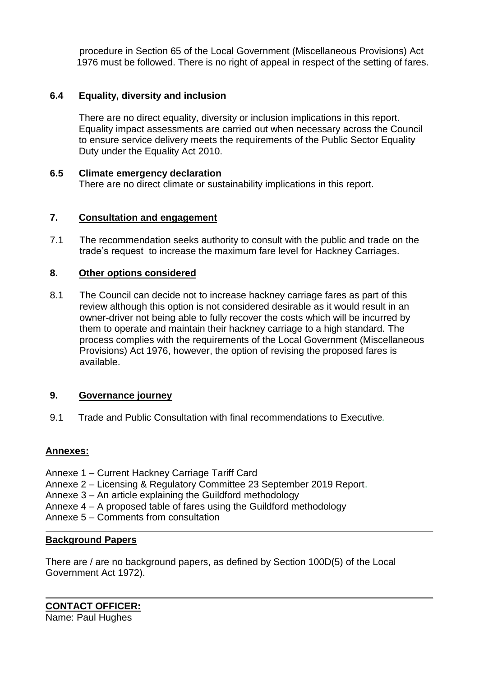procedure in Section 65 of the Local Government (Miscellaneous Provisions) Act 1976 must be followed. There is no right of appeal in respect of the setting of fares.

### **6.4 Equality, diversity and inclusion**

There are no direct equality, diversity or inclusion implications in this report. Equality impact assessments are carried out when necessary across the Council to ensure service delivery meets the requirements of the Public Sector Equality Duty under the Equality Act 2010.

### **6.5 Climate emergency declaration**

There are no direct climate or sustainability implications in this report.

### **7. Consultation and engagement**

7.1 The recommendation seeks authority to consult with the public and trade on the trade's request to increase the maximum fare level for Hackney Carriages.

### **8. Other options considered**

8.1 The Council can decide not to increase hackney carriage fares as part of this review although this option is not considered desirable as it would result in an owner-driver not being able to fully recover the costs which will be incurred by them to operate and maintain their hackney carriage to a high standard. The process complies with the requirements of the Local Government (Miscellaneous Provisions) Act 1976, however, the option of revising the proposed fares is available.

### **9. Governance journey**

9.1 Trade and Public Consultation with final recommendations to Executive*.*

### **Annexes:**

- Annexe 1 Current Hackney Carriage Tariff Card
- Annexe 2 Licensing & Regulatory Committee 23 September 2019 Report.
- Annexe 3 An article explaining the Guildford methodology
- Annexe 4 A proposed table of fares using the Guildford methodology
- Annexe 5 Comments from consultation

#### **Background Papers**

There are / are no background papers, as defined by Section 100D(5) of the Local Government Act 1972).

**CONTACT OFFICER:** Name: Paul Hughes